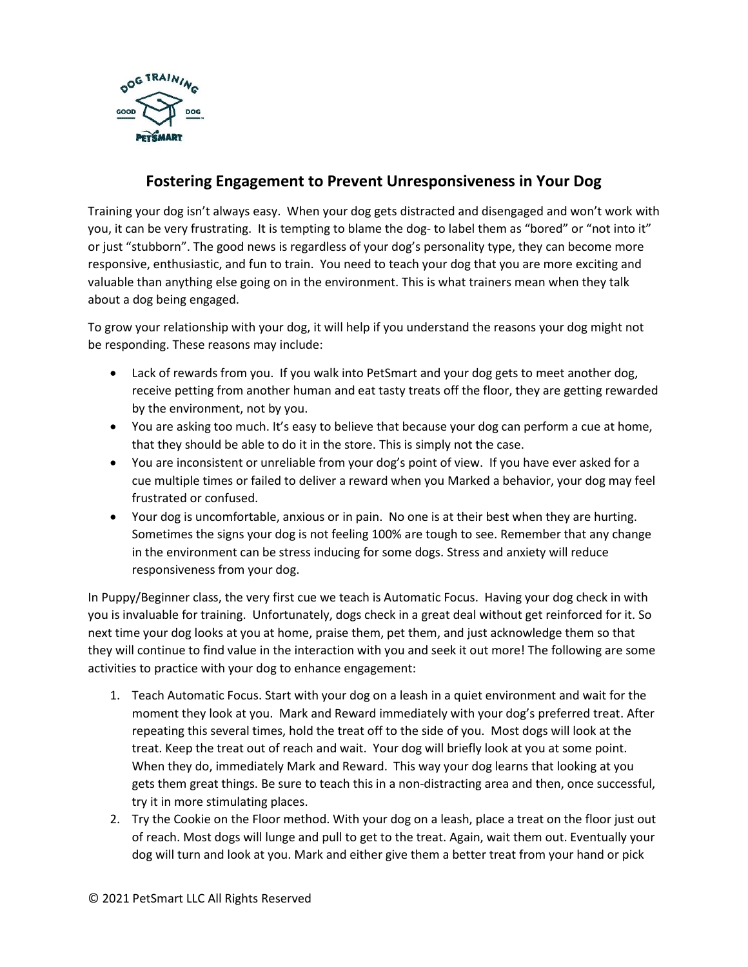

## **Fostering Engagement to Prevent Unresponsiveness in Your Dog**

Training your dog isn't always easy. When your dog gets distracted and disengaged and won't work with you, it can be very frustrating. It is tempting to blame the dog- to label them as "bored" or "not into it" or just "stubborn". The good news is regardless of your dog's personality type, they can become more responsive, enthusiastic, and fun to train. You need to teach your dog that you are more exciting and valuable than anything else going on in the environment. This is what trainers mean when they talk about a dog being engaged.

To grow your relationship with your dog, it will help if you understand the reasons your dog might not be responding. These reasons may include:

- Lack of rewards from you. If you walk into PetSmart and your dog gets to meet another dog, receive petting from another human and eat tasty treats off the floor, they are getting rewarded by the environment, not by you.
- You are asking too much. It's easy to believe that because your dog can perform a cue at home, that they should be able to do it in the store. This is simply not the case.
- You are inconsistent or unreliable from your dog's point of view. If you have ever asked for a cue multiple times or failed to deliver a reward when you Marked a behavior, your dog may feel frustrated or confused.
- Your dog is uncomfortable, anxious or in pain. No one is at their best when they are hurting. Sometimes the signs your dog is not feeling 100% are tough to see. Remember that any change in the environment can be stress inducing for some dogs. Stress and anxiety will reduce responsiveness from your dog.

In Puppy/Beginner class, the very first cue we teach is Automatic Focus. Having your dog check in with you is invaluable for training. Unfortunately, dogs check in a great deal without get reinforced for it. So next time your dog looks at you at home, praise them, pet them, and just acknowledge them so that they will continue to find value in the interaction with you and seek it out more! The following are some activities to practice with your dog to enhance engagement:

- 1. Teach Automatic Focus. Start with your dog on a leash in a quiet environment and wait for the moment they look at you. Mark and Reward immediately with your dog's preferred treat. After repeating this several times, hold the treat off to the side of you. Most dogs will look at the treat. Keep the treat out of reach and wait. Your dog will briefly look at you at some point. When they do, immediately Mark and Reward. This way your dog learns that looking at you gets them great things. Be sure to teach this in a non-distracting area and then, once successful, try it in more stimulating places.
- 2. Try the Cookie on the Floor method. With your dog on a leash, place a treat on the floor just out of reach. Most dogs will lunge and pull to get to the treat. Again, wait them out. Eventually your dog will turn and look at you. Mark and either give them a better treat from your hand or pick